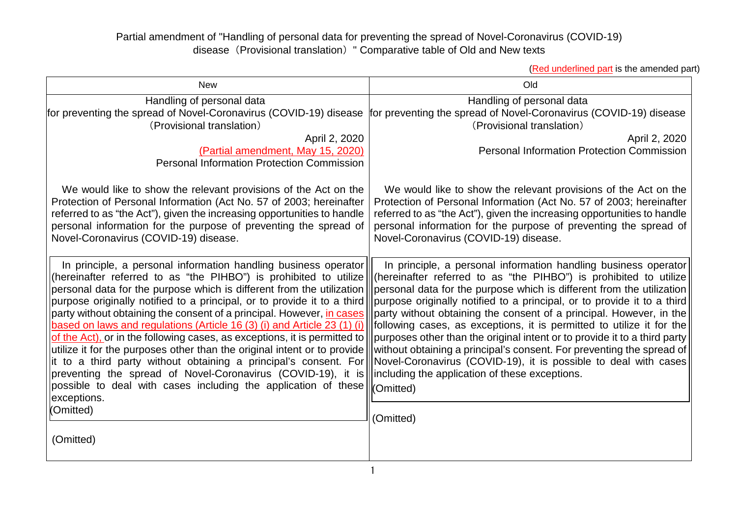## Partial amendment of "Handling of personal data for preventing the spread of Novel-Coronavirus (COVID-19) disease (Provisional translation) " Comparative table of Old and New texts

(Red underlined part is the amended part)

| Handling of personal data<br>for preventing the spread of Novel-Coronavirus (COVID-19) disease for preventing the spread of Novel-Coronavirus (COVID-19) disease<br>(Provisional translation)<br>April 2, 2020<br>(Partial amendment, May 15, 2020)<br><b>Personal Information Protection Commission</b>                                                                                                                                                                                                                                                                                                                                                                                                                                                                                                                                                     | Handling of personal data<br>(Provisional translation)<br>April 2, 2020                                                                                                                                                                                                                                                                                                                                                                                                                                                                                                                                                                                                                                                                       |
|--------------------------------------------------------------------------------------------------------------------------------------------------------------------------------------------------------------------------------------------------------------------------------------------------------------------------------------------------------------------------------------------------------------------------------------------------------------------------------------------------------------------------------------------------------------------------------------------------------------------------------------------------------------------------------------------------------------------------------------------------------------------------------------------------------------------------------------------------------------|-----------------------------------------------------------------------------------------------------------------------------------------------------------------------------------------------------------------------------------------------------------------------------------------------------------------------------------------------------------------------------------------------------------------------------------------------------------------------------------------------------------------------------------------------------------------------------------------------------------------------------------------------------------------------------------------------------------------------------------------------|
|                                                                                                                                                                                                                                                                                                                                                                                                                                                                                                                                                                                                                                                                                                                                                                                                                                                              | <b>Personal Information Protection Commission</b>                                                                                                                                                                                                                                                                                                                                                                                                                                                                                                                                                                                                                                                                                             |
| We would like to show the relevant provisions of the Act on the<br>Protection of Personal Information (Act No. 57 of 2003; hereinafter<br>referred to as "the Act"), given the increasing opportunities to handle<br>personal information for the purpose of preventing the spread of<br>Novel-Coronavirus (COVID-19) disease.                                                                                                                                                                                                                                                                                                                                                                                                                                                                                                                               | We would like to show the relevant provisions of the Act on the<br>Protection of Personal Information (Act No. 57 of 2003; hereinafter<br>referred to as "the Act"), given the increasing opportunities to handle<br>personal information for the purpose of preventing the spread of<br>Novel-Coronavirus (COVID-19) disease.                                                                                                                                                                                                                                                                                                                                                                                                                |
| In principle, a personal information handling business operator<br>(hereinafter referred to as "the PIHBO") is prohibited to utilize<br>personal data for the purpose which is different from the utilization<br>purpose originally notified to a principal, or to provide it to a third<br>party without obtaining the consent of a principal. However, <i>in cases</i><br>based on laws and regulations (Article 16 (3) (i) and Article 23 (1) (i)<br>of the Act), or in the following cases, as exceptions, it is permitted to<br>utilize it for the purposes other than the original intent or to provide<br>it to a third party without obtaining a principal's consent. For<br>preventing the spread of Novel-Coronavirus (COVID-19), it is<br>possible to deal with cases including the application of these<br>exceptions.<br>(Omitted)<br>(Omitted) | In principle, a personal information handling business operator<br>(hereinafter referred to as "the PIHBO") is prohibited to utilize<br>personal data for the purpose which is different from the utilization<br>purpose originally notified to a principal, or to provide it to a third<br>party without obtaining the consent of a principal. However, in the<br>following cases, as exceptions, it is permitted to utilize it for the<br>purposes other than the original intent or to provide it to a third party<br>without obtaining a principal's consent. For preventing the spread of<br>Novel-Coronavirus (COVID-19), it is possible to deal with cases<br>including the application of these exceptions.<br>(Omitted)<br>(Omitted) |